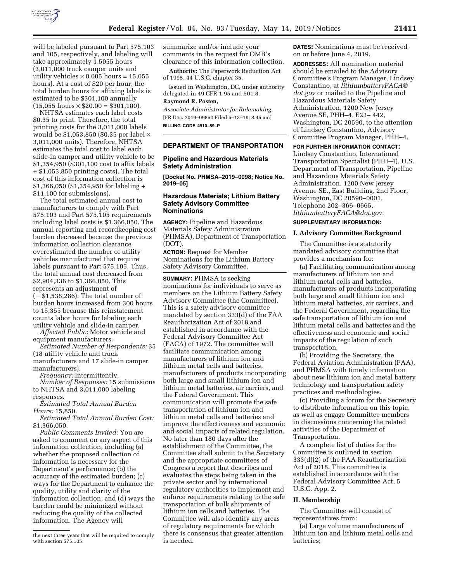

will be labeled pursuant to Part 575.103 and 105, respectively, and labeling will take approximately 1,5055 hours (3,011,000 truck camper units and utility vehicles  $\times$  0.005 hours = 15,055 hours). At a cost of \$20 per hour, the total burden hours for affixing labels is estimated to be \$301,100 annually  $(15,055 \text{ hours} \times $20.00 = $301,100).$ 

NHTSA estimates each label costs \$0.35 to print. Therefore, the total printing costs for the 3,011,000 labels would be \$1,053,850 (\$0.35 per label  $\times$ 3,011,000 units). Therefore, NHTSA estimates the total cost to label each slide-in camper and utility vehicle to be \$1,354,950 (\$301,100 cost to affix labels + \$1,053,850 printing costs). The total cost of this information collection is \$1,366,050 (\$1,354,950 for labeling + \$11,100 for submissions).

The total estimated annual cost to manufacturers to comply with Part 575.103 and Part 575.105 requirements including label costs is \$1,366,050. The annual reporting and recordkeeping cost burden decreased because the previous information collection clearance overestimated the number of utility vehicles manufactured that require labels pursuant to Part 575.105. Thus, the total annual cost decreased from \$2,904,336 to \$1,366,050. This represents an adjustment of  $(-\$1,538,286)$ . The total number of burden hours increased from 300 hours to 15,355 because this reinstatement counts labor hours for labeling each utility vehicle and slide-in camper.

*Affected Public:* Motor vehicle and equipment manufacturers.

*Estimated Number of Respondents:* 35 (18 utility vehicle and truck manufacturers and 17 slide-in camper manufacturers).

*Frequency:* Intermittently.

*Number of Responses:* 15 submissions to NHTSA and 3,011,000 labeling responses.

*Estimated Total Annual Burden Hours:* 15,850.

*Estimated Total Annual Burden Cost:*  \$1,366,050.

*Public Comments Invited:* You are asked to comment on any aspect of this information collection, including (a) whether the proposed collection of information is necessary for the Department's performance; (b) the accuracy of the estimated burden; (c) ways for the Department to enhance the quality, utility and clarity of the information collection; and (d) ways the burden could be minimized without reducing the quality of the collected information. The Agency will

summarize and/or include your comments in the request for OMB's clearance of this information collection.

**Authority:** The Paperwork Reduction Act of 1995, 44 U.S.C. chapter 35.

Issued in Washington, DC, under authority delegated in 49 CFR 1.95 and 501.8.

# **Raymond R. Posten,**

*Associate Administrator for Rulemaking.*  [FR Doc. 2019–09850 Filed 5–13–19; 8:45 am] **BILLING CODE 4910–59–P** 

## **DEPARTMENT OF TRANSPORTATION**

## **Pipeline and Hazardous Materials Safety Administration**

**[Docket No. PHMSA–2019–0098; Notice No. 2019–05]** 

## **Hazardous Materials; Lithium Battery Safety Advisory Committee Nominations**

**AGENCY:** Pipeline and Hazardous Materials Safety Administration (PHMSA), Department of Transportation (DOT).

**ACTION:** Request for Member Nominations for the Lithium Battery Safety Advisory Committee.

**SUMMARY:** PHMSA is seeking nominations for individuals to serve as members on the Lithium Battery Safety Advisory Committee (the Committee). This is a safety advisory committee mandated by section 333(d) of the FAA Reauthorization Act of 2018 and established in accordance with the Federal Advisory Committee Act (FACA) of 1972. The committee will facilitate communication among manufacturers of lithium ion and lithium metal cells and batteries, manufacturers of products incorporating both large and small lithium ion and lithium metal batteries, air carriers, and the Federal Government. This communication will promote the safe transportation of lithium ion and lithium metal cells and batteries and improve the effectiveness and economic and social impacts of related regulation. No later than 180 days after the establishment of the Committee, the Committee shall submit to the Secretary and the appropriate committees of Congress a report that describes and evaluates the steps being taken in the private sector and by international regulatory authorities to implement and enforce requirements relating to the safe transportation of bulk shipments of lithium ion cells and batteries. The Committee will also identify any areas of regulatory requirements for which there is consensus that greater attention is needed.

**DATES:** Nominations must be received on or before June 4, 2019.

**ADDRESSES:** All nomination material should be emailed to the Advisory Committee's Program Manager, Lindsey Constantino, at *[lithiumbatteryFACA@](mailto:lithiumbatteryFACA@dot.gov) [dot.gov](mailto:lithiumbatteryFACA@dot.gov)* or mailed to the Pipeline and Hazardous Materials Safety Administration, 1200 New Jersey Avenue SE, PHH–4, E23– 442, Washington, DC 20590, to the attention of Lindsey Constantino, Advisory Committee Program Manager, PHH–4.

#### **FOR FURTHER INFORMATION CONTACT:**

Lindsey Constantino, International Transportation Specialist (PHH–4), U.S. Department of Transportation, Pipeline and Hazardous Materials Safety Administration, 1200 New Jersey Avenue SE., East Building, 2nd Floor, Washington, DC 20590–0001, Telephone 202–366–0665, *[lithiumbatteryFACA@dot.gov.](mailto:lithiumbatteryFACA@dot.gov)* 

# **SUPPLEMENTARY INFORMATION:**

### **I. Advisory Committee Background**

The Committee is a statutorily mandated advisory committee that provides a mechanism for:

(a) Facilitating communication among manufacturers of lithium ion and lithium metal cells and batteries, manufacturers of products incorporating both large and small lithium ion and lithium metal batteries, air carriers, and the Federal Government, regarding the safe transportation of lithium ion and lithium metal cells and batteries and the effectiveness and economic and social impacts of the regulation of such transportation.

(b) Providing the Secretary, the Federal Aviation Administration (FAA), and PHMSA with timely information about new lithium ion and metal battery technology and transportation safety practices and methodologies.

(c) Providing a forum for the Secretary to distribute information on this topic, as well as engage Committee members in discussions concerning the related activities of the Department of Transportation.

A complete list of duties for the Committee is outlined in section 333(d)(2) of the FAA Reauthorization Act of 2018. This committee is established in accordance with the Federal Advisory Committee Act, 5 U.S.C. App. 2.

#### **II. Membership**

The Committee will consist of representatives from:

(a) Large volume manufacturers of lithium ion and lithium metal cells and batteries;

the next three years that will be required to comply with section 575.105.